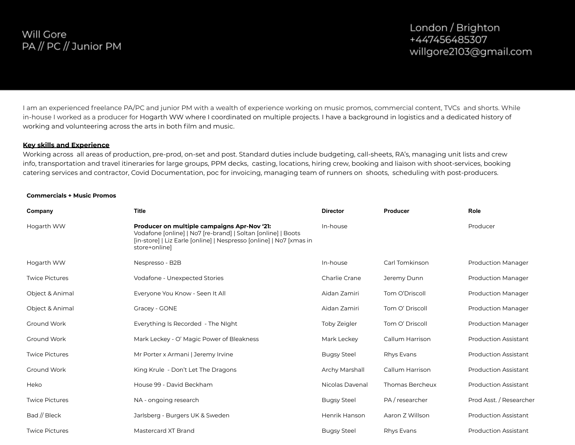# Will Gore PA // PC // Junior PM

I am an experienced freelance PA/PC and junior PM with a wealth of experience working on music promos, commercial content, TVCs and shorts. While in-house I worked as a producer for Hogarth WW where I coordinated on multiple projects. I have a background in logistics and a dedicated history of working and volunteering across the arts in both film and music.

#### **Key skills and Experience**

Working across all areas of production, pre-prod, on-set and post. Standard duties include budgeting, call-sheets, RA's, managing unit lists and crew info, transportation and travel itineraries for large groups, PPM decks, casting, locations, hiring crew, booking and liaison with shoot-services, booking catering services and contractor, Covid Documentation, poc for invoicing, managing team of runners on shoots, scheduling with post-producers.

#### **Commercials + Music Promos**

| Company               | <b>Title</b>                                                                                                                                                                                        | <b>Director</b>    | Producer        | Role                        |
|-----------------------|-----------------------------------------------------------------------------------------------------------------------------------------------------------------------------------------------------|--------------------|-----------------|-----------------------------|
| Hogarth WW            | Producer on multiple campaigns Apr-Nov '21:<br>Vodafone [online]   No7 [re-brand]   Soltan [online]   Boots<br>[in-store]   Liz Earle [online]   Nespresso [online]   No7 [xmas in<br>store+online] | In-house           |                 | Producer                    |
| Hogarth WW            | Nespresso - B2B                                                                                                                                                                                     | In-house           | Carl Tomkinson  | <b>Production Manager</b>   |
| <b>Twice Pictures</b> | Vodafone - Unexpected Stories                                                                                                                                                                       | Charlie Crane      | Jeremy Dunn     | <b>Production Manager</b>   |
| Object & Animal       | Everyone You Know - Seen It All                                                                                                                                                                     | Aidan Zamiri       | Tom O'Driscoll  | <b>Production Manager</b>   |
| Object & Animal       | Gracey - GONE                                                                                                                                                                                       | Aidan Zamiri       | Tom O' Driscoll | <b>Production Manager</b>   |
| Ground Work           | Everything Is Recorded - The Night                                                                                                                                                                  | Toby Zeigler       | Tom O' Driscoll | <b>Production Manager</b>   |
| Ground Work           | Mark Leckey - O' Magic Power of Bleakness                                                                                                                                                           | Mark Leckey        | Callum Harrison | <b>Production Assistant</b> |
| <b>Twice Pictures</b> | Mr Porter x Armani   Jeremy Irvine                                                                                                                                                                  | <b>Bugsy Steel</b> | Rhys Evans      | <b>Production Assistant</b> |
| Ground Work           | King Krule - Don't Let The Dragons                                                                                                                                                                  | Archy Marshall     | Callum Harrison | <b>Production Assistant</b> |
| Heko                  | House 99 - David Beckham                                                                                                                                                                            | Nicolas Davenal    | Thomas Bercheux | <b>Production Assistant</b> |
| <b>Twice Pictures</b> | NA - ongoing research                                                                                                                                                                               | <b>Bugsy Steel</b> | PA / researcher | Prod Asst. / Researcher     |
| Bad $//$ Bleck        | Jarlsberg - Burgers UK & Sweden                                                                                                                                                                     | Henrik Hanson      | Aaron Z Willson | <b>Production Assistant</b> |
| <b>Twice Pictures</b> | Mastercard XT Brand                                                                                                                                                                                 | <b>Bugsy Steel</b> | Rhys Evans      | <b>Production Assistant</b> |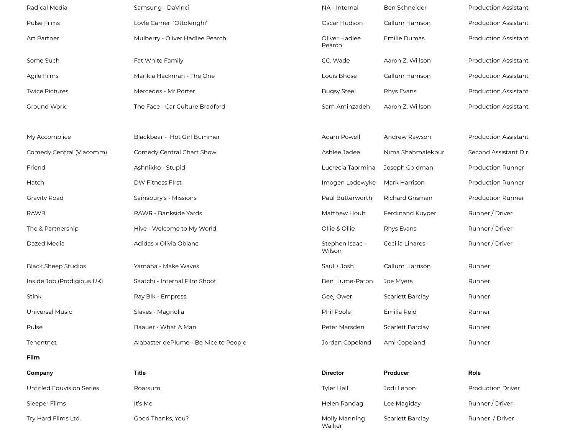| Radical Media              | Samsung - DaVinci                     | NA - Internal             | Ben Schneider           | <b>Production Assistant</b> |
|----------------------------|---------------------------------------|---------------------------|-------------------------|-----------------------------|
| Pulse Films                | Loyle Carner 'Ottolenghi"             | Oscar Hudson              | Callum Harrison         | <b>Production Assistant</b> |
| Art Partner                | Mulberry - Oliver Hadlee Pearch       | Oliver Hadlee<br>Pearch   | Emilie Dumas            | <b>Production Assistant</b> |
| Some Such                  | Fat White Family                      | CC. Wade                  | Aaron Z. Willson        | <b>Production Assistant</b> |
| Agile Films                | Marikia Hackman - The One             | Louis Bhose               | Callum Harrison         | <b>Production Assistant</b> |
| <b>Twice Pictures</b>      | Mercedes - Mr Porter                  | <b>Bugsy Steel</b>        | Rhys Evans              | <b>Production Assistant</b> |
| Ground Work                | The Face - Car Culture Bradford       | Sam Aminzadeh             | Aaron Z. Willson        | <b>Production Assistant</b> |
|                            |                                       |                           |                         |                             |
| My Accomplice              | Blackbear - Hot Girl Bummer           | Adam Powell               | Andrew Rawson           | <b>Production Assistant</b> |
| Comedy Central (Viacomm)   | Comedy Central Chart Show             | Ashlee Jadee              | Nima Shahmalekpur       | Second Assistant DIr.       |
| Friend                     | Ashnikko - Stupid                     | Lucrecia Taormina         | Joseph Goldman          | <b>Production Runner</b>    |
| Hatch                      | DW Fitness FIrst                      | Imogen Lodewyke           | Mark Harrison           | <b>Production Runner</b>    |
| <b>Gravity Road</b>        | Sainsbury's - Missions                | Paul Butterworth          | <b>Richard Grisman</b>  | <b>Production Runner</b>    |
| <b>RAWR</b>                | RAWR - Bankside Yards                 | Matthew Hoult             | Ferdinand Kuyper        | Runner / Driver             |
| The & Partnership          | Hive - Welcome to My World            | Ollie & Ollie             | Rhys Evans              | Runner / Driver             |
| Dazed Media                | Adidas x Olivia Oblanc                | Stephen Isaac -<br>Wilson | Cecilia Linares         | Runner / Driver             |
| <b>Black Sheep Studios</b> | Yamaha - Make Waves                   | Saul + Josh               | Callum Harrison         | Runner                      |
| Inside Job (Prodigious UK) | Saatchi - Internal Film Shoot         | Ben Hume-Paton            | Joe Myers               | Runner                      |
| Stink                      | Ray Blk - Empress                     | Geej Ower                 | <b>Scarlett Barclay</b> | Runner                      |
| Universal Music            | Slaves - Magnolia                     | Phil Poole                | Emilia Reid             | Runner                      |
| Pulse                      | Baauer - What A Man                   | Peter Marsden             | <b>Scarlett Barclay</b> | Runner                      |
| Tenentnet                  | Alabaster dePlume - Be Nice to People | Jordan Copeland           | Ami Copeland            | Runner                      |
| Film                       |                                       |                           |                         |                             |
| Company                    | Title                                 | <b>Director</b>           | Producer                | Role                        |
| Untitled Eduvision Series  | Roarsum                               | <b>Tyler Hall</b>         | Jodi Lenon              | <b>Production Driver</b>    |
| Sleeper Films              | It's Me                               | Helen Randag              | Lee Magiday             | Runner / Driver             |
| Try Hard Films Ltd.        | Good Thanks, You?                     | Molly Manning<br>Walker   | Scarlett Barclay        | Runner / Driver             |